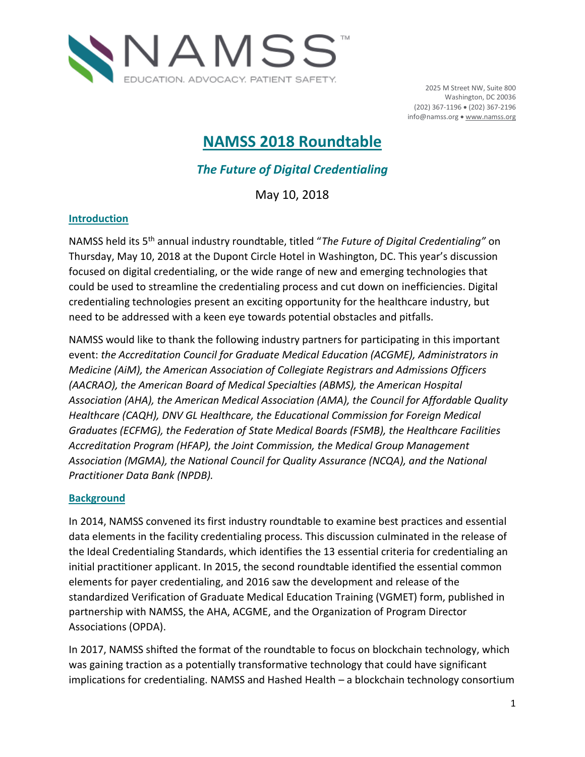

2025 M Street NW, Suite 800 Washington, DC 20036 (202) 367-1196 (202) 367-2196 info@namss.org . [www.namss.org](http://www.namss.org/)

# **NAMSS 2018 Roundtable**

*The Future of Digital Credentialing*

May 10, 2018

## **Introduction**

NAMSS held its 5th annual industry roundtable, titled "*The Future of Digital Credentialing"* on Thursday, May 10, 2018 at the Dupont Circle Hotel in Washington, DC. This year's discussion focused on digital credentialing, or the wide range of new and emerging technologies that could be used to streamline the credentialing process and cut down on inefficiencies. Digital credentialing technologies present an exciting opportunity for the healthcare industry, but need to be addressed with a keen eye towards potential obstacles and pitfalls.

NAMSS would like to thank the following industry partners for participating in this important event: *the Accreditation Council for Graduate Medical Education (ACGME), Administrators in Medicine (AiM), the American Association of Collegiate Registrars and Admissions Officers (AACRAO), the American Board of Medical Specialties (ABMS), the American Hospital Association (AHA), the American Medical Association (AMA), the Council for Affordable Quality Healthcare (CAQH), DNV GL Healthcare, the Educational Commission for Foreign Medical Graduates (ECFMG), the Federation of State Medical Boards (FSMB), the Healthcare Facilities Accreditation Program (HFAP), the Joint Commission, the Medical Group Management Association (MGMA), the National Council for Quality Assurance (NCQA), and the National Practitioner Data Bank (NPDB).* 

#### **Background**

In 2014, NAMSS convened its first industry roundtable to examine best practices and essential data elements in the facility credentialing process. This discussion culminated in the release of the Ideal Credentialing Standards, which identifies the 13 essential criteria for credentialing an initial practitioner applicant. In 2015, the second roundtable identified the essential common elements for payer credentialing, and 2016 saw the development and release of the standardized Verification of Graduate Medical Education Training (VGMET) form, published in partnership with NAMSS, the AHA, ACGME, and the Organization of Program Director Associations (OPDA).

In 2017, NAMSS shifted the format of the roundtable to focus on blockchain technology, which was gaining traction as a potentially transformative technology that could have significant implications for credentialing. NAMSS and Hashed Health – a blockchain technology consortium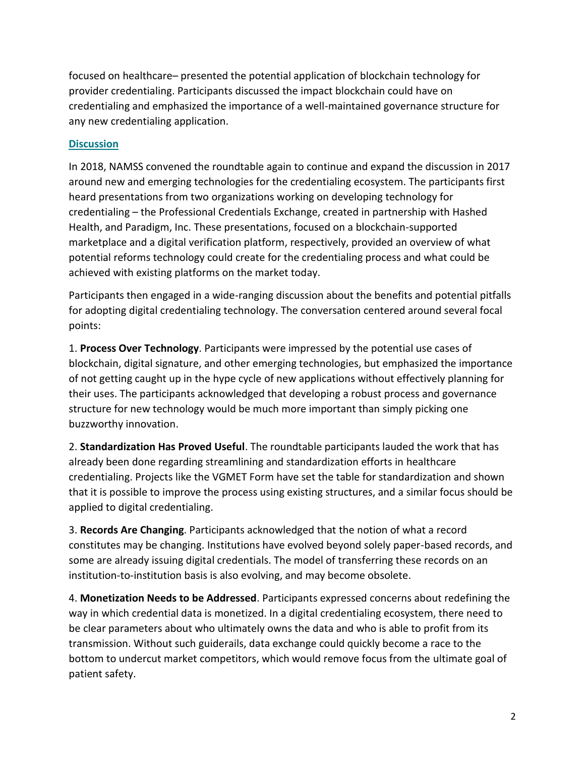focused on healthcare– presented the potential application of blockchain technology for provider credentialing. Participants discussed the impact blockchain could have on credentialing and emphasized the importance of a well-maintained governance structure for any new credentialing application.

## **Discussion**

In 2018, NAMSS convened the roundtable again to continue and expand the discussion in 2017 around new and emerging technologies for the credentialing ecosystem. The participants first heard presentations from two organizations working on developing technology for credentialing – the Professional Credentials Exchange, created in partnership with Hashed Health, and Paradigm, Inc. These presentations, focused on a blockchain-supported marketplace and a digital verification platform, respectively, provided an overview of what potential reforms technology could create for the credentialing process and what could be achieved with existing platforms on the market today.

Participants then engaged in a wide-ranging discussion about the benefits and potential pitfalls for adopting digital credentialing technology. The conversation centered around several focal points:

1. **Process Over Technology**. Participants were impressed by the potential use cases of blockchain, digital signature, and other emerging technologies, but emphasized the importance of not getting caught up in the hype cycle of new applications without effectively planning for their uses. The participants acknowledged that developing a robust process and governance structure for new technology would be much more important than simply picking one buzzworthy innovation.

2. **Standardization Has Proved Useful**. The roundtable participants lauded the work that has already been done regarding streamlining and standardization efforts in healthcare credentialing. Projects like the VGMET Form have set the table for standardization and shown that it is possible to improve the process using existing structures, and a similar focus should be applied to digital credentialing.

3. **Records Are Changing**. Participants acknowledged that the notion of what a record constitutes may be changing. Institutions have evolved beyond solely paper-based records, and some are already issuing digital credentials. The model of transferring these records on an institution-to-institution basis is also evolving, and may become obsolete.

4. **Monetization Needs to be Addressed**. Participants expressed concerns about redefining the way in which credential data is monetized. In a digital credentialing ecosystem, there need to be clear parameters about who ultimately owns the data and who is able to profit from its transmission. Without such guiderails, data exchange could quickly become a race to the bottom to undercut market competitors, which would remove focus from the ultimate goal of patient safety.